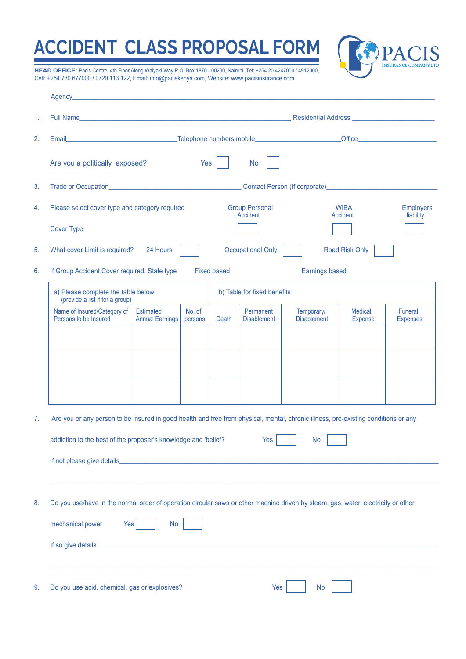## **ACCIDENT CLASS PROPOSAL FORM**



**HEAD OFFICE:** Pacis Centre, 4th Floor Along Waiyaki Way P.O. Box 1870 - 00200, Nairobi, Tel: +254 20 4247000 / 4912000, Cell: +254 730 677000 / 0720 113 122, Email: info@paciskenya.com, Website: www.pacisinsurance.com

|    | Agency_                                                                                                                            |                                                                   |                   |                                   |                                 |                                  |                                                                                                                                                                                                                                    |                                   |  |  |
|----|------------------------------------------------------------------------------------------------------------------------------------|-------------------------------------------------------------------|-------------------|-----------------------------------|---------------------------------|----------------------------------|------------------------------------------------------------------------------------------------------------------------------------------------------------------------------------------------------------------------------------|-----------------------------------|--|--|
| 1. | Full Name                                                                                                                          |                                                                   |                   |                                   |                                 |                                  |                                                                                                                                                                                                                                    |                                   |  |  |
| 2. |                                                                                                                                    |                                                                   |                   |                                   |                                 |                                  | Office <b>Office Contract Contract Contract Contract Contract Contract Contract Contract Contract Contract Contract Contract Contract Contract Contract Contract Contract Contract Contract Contract Contract Contract Contrac</b> |                                   |  |  |
|    | Are you a politically exposed?                                                                                                     |                                                                   | Yes               |                                   | <b>No</b>                       |                                  |                                                                                                                                                                                                                                    |                                   |  |  |
| 3. |                                                                                                                                    |                                                                   |                   |                                   |                                 |                                  |                                                                                                                                                                                                                                    |                                   |  |  |
| 4. | Please select cover type and category required                                                                                     |                                                                   |                   | <b>Group Personal</b><br>Accident |                                 |                                  | <b>WIBA</b><br>Accident                                                                                                                                                                                                            | <b>Employers</b><br>liability     |  |  |
|    | <b>Cover Type</b>                                                                                                                  |                                                                   |                   |                                   |                                 |                                  |                                                                                                                                                                                                                                    |                                   |  |  |
| 5. | <b>Occupational Only</b><br>Road Risk Only<br>What cover Limit is required?<br>24 Hours                                            |                                                                   |                   |                                   |                                 |                                  |                                                                                                                                                                                                                                    |                                   |  |  |
| 6. | If Group Accident Cover required. State type<br><b>Fixed based</b><br><b>Earnings based</b>                                        |                                                                   |                   |                                   |                                 |                                  |                                                                                                                                                                                                                                    |                                   |  |  |
|    | a) Please complete the table below<br>(provide a list if for a group)                                                              | b) Table for fixed benefits                                       |                   |                                   |                                 |                                  |                                                                                                                                                                                                                                    |                                   |  |  |
|    | Name of Insured/Category of<br>Persons to be Insured                                                                               | <b>Estimated</b><br><b>Annual Earnings</b>                        | No. of<br>persons | Death                             | Permanent<br><b>Disablement</b> | Temporary/<br><b>Disablement</b> | <b>Medical</b><br>Expense                                                                                                                                                                                                          | <b>Funeral</b><br><b>Expenses</b> |  |  |
|    |                                                                                                                                    |                                                                   |                   |                                   |                                 |                                  |                                                                                                                                                                                                                                    |                                   |  |  |
|    |                                                                                                                                    |                                                                   |                   |                                   |                                 |                                  |                                                                                                                                                                                                                                    |                                   |  |  |
|    |                                                                                                                                    |                                                                   |                   |                                   |                                 |                                  |                                                                                                                                                                                                                                    |                                   |  |  |
|    |                                                                                                                                    |                                                                   |                   |                                   |                                 |                                  |                                                                                                                                                                                                                                    |                                   |  |  |
| 7. | Are you or any person to be insured in good health and free from physical, mental, chronic illness, pre-existing conditions or any |                                                                   |                   |                                   |                                 |                                  |                                                                                                                                                                                                                                    |                                   |  |  |
|    | addiction to the best of the proposer's knowledge and 'belief?<br>Yes<br><b>No</b>                                                 |                                                                   |                   |                                   |                                 |                                  |                                                                                                                                                                                                                                    |                                   |  |  |
|    |                                                                                                                                    |                                                                   |                   |                                   |                                 |                                  |                                                                                                                                                                                                                                    |                                   |  |  |
|    |                                                                                                                                    |                                                                   |                   |                                   |                                 |                                  |                                                                                                                                                                                                                                    |                                   |  |  |
| 8. | Do you use/have in the normal order of operation circular saws or other machine driven by steam, gas, water, electricity or other  |                                                                   |                   |                                   |                                 |                                  |                                                                                                                                                                                                                                    |                                   |  |  |
|    | mechanical power<br>Yes<br>No                                                                                                      |                                                                   |                   |                                   |                                 |                                  |                                                                                                                                                                                                                                    |                                   |  |  |
|    |                                                                                                                                    |                                                                   |                   |                                   |                                 |                                  |                                                                                                                                                                                                                                    |                                   |  |  |
|    |                                                                                                                                    |                                                                   |                   |                                   |                                 |                                  |                                                                                                                                                                                                                                    |                                   |  |  |
| 9. |                                                                                                                                    | Do you use acid, chemical, gas or explosives?<br>Yes<br><b>No</b> |                   |                                   |                                 |                                  |                                                                                                                                                                                                                                    |                                   |  |  |